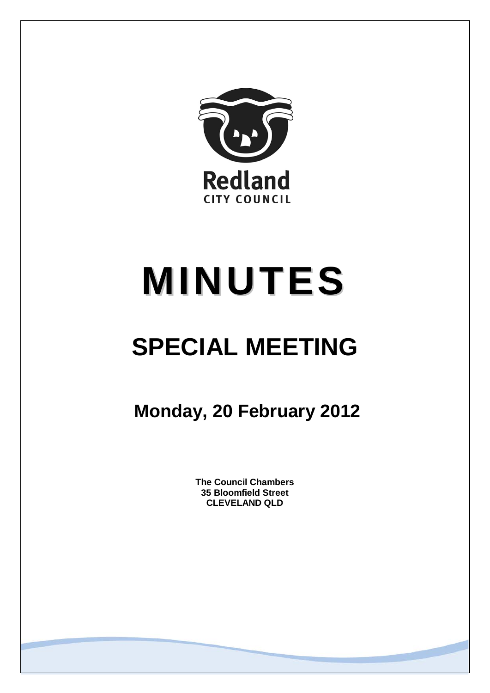

# **MINUTES**

# **SPECIAL MEETING**

**Monday, 20 February 2012**

**The Council Chambers 35 Bloomfield Street CLEVELAND QLD**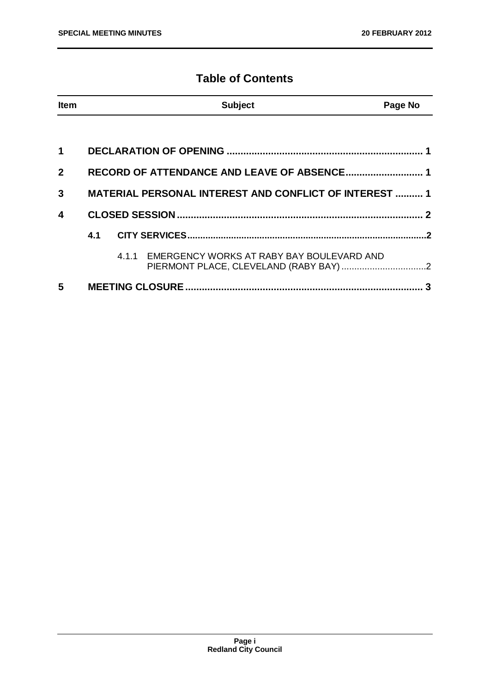# **Table of Contents**

| <b>Item</b>             |                                                               |  | <b>Subject</b>                                  | Page No |
|-------------------------|---------------------------------------------------------------|--|-------------------------------------------------|---------|
|                         |                                                               |  |                                                 |         |
| $\mathbf 1$             |                                                               |  |                                                 |         |
| $\mathbf{2}$            |                                                               |  |                                                 |         |
| 3                       | <b>MATERIAL PERSONAL INTEREST AND CONFLICT OF INTEREST  1</b> |  |                                                 |         |
| $\overline{\mathbf{4}}$ |                                                               |  |                                                 |         |
|                         |                                                               |  |                                                 |         |
|                         |                                                               |  | 4.1.1 EMERGENCY WORKS AT RABY BAY BOULEVARD AND |         |
| 5                       |                                                               |  |                                                 |         |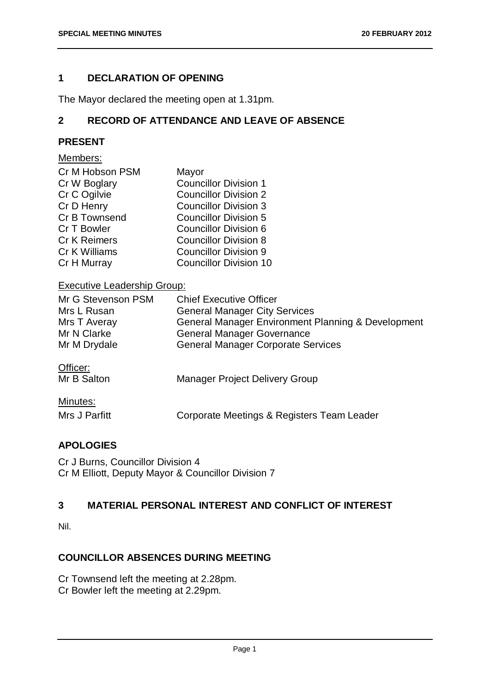# <span id="page-2-0"></span>**1 DECLARATION OF OPENING**

The Mayor declared the meeting open at 1.31pm.

# <span id="page-2-1"></span>**2 RECORD OF ATTENDANCE AND LEAVE OF ABSENCE**

# **PRESENT**

#### Members:

| Cr M Hobson PSM      | Mayor                         |
|----------------------|-------------------------------|
| Cr W Boglary         | <b>Councillor Division 1</b>  |
| Cr C Ogilvie         | <b>Councillor Division 2</b>  |
| Cr D Henry           | <b>Councillor Division 3</b>  |
| <b>Cr B Townsend</b> | <b>Councillor Division 5</b>  |
| Cr T Bowler          | <b>Councillor Division 6</b>  |
| <b>Cr K Reimers</b>  | <b>Councillor Division 8</b>  |
| Cr K Williams        | <b>Councillor Division 9</b>  |
| Cr H Murray          | <b>Councillor Division 10</b> |

# Executive Leadership Group:

| Mr G Stevenson PSM<br>Mrs L Rusan<br>Mrs T Averay<br>Mr N Clarke<br>Mr M Drydale | <b>Chief Executive Officer</b><br><b>General Manager City Services</b><br>General Manager Environment Planning & Development<br><b>General Manager Governance</b><br><b>General Manager Corporate Services</b> |
|----------------------------------------------------------------------------------|----------------------------------------------------------------------------------------------------------------------------------------------------------------------------------------------------------------|
| Officer:<br>Mr B Salton                                                          | <b>Manager Project Delivery Group</b>                                                                                                                                                                          |
| Minutes:                                                                         |                                                                                                                                                                                                                |

#### **APOLOGIES**

Cr J Burns, Councillor Division 4 Cr M Elliott, Deputy Mayor & Councillor Division 7

# <span id="page-2-2"></span>**3 MATERIAL PERSONAL INTEREST AND CONFLICT OF INTEREST**

Nil.

# **COUNCILLOR ABSENCES DURING MEETING**

Cr Townsend left the meeting at 2.28pm.

Cr Bowler left the meeting at 2.29pm.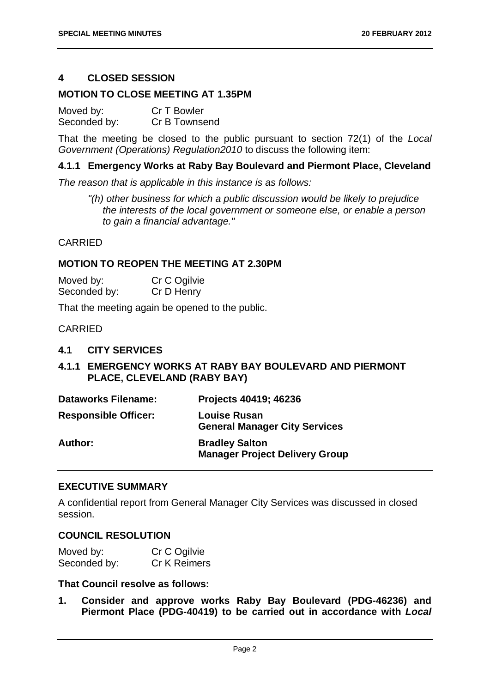#### <span id="page-3-0"></span>**4 CLOSED SESSION**

#### **MOTION TO CLOSE MEETING AT 1.35PM**

Moved by: Cr T Bowler<br>Seconded by: Cr B Townse Cr B Townsend

That the meeting be closed to the public pursuant to section 72(1) of the *Local Government (Operations) Regulation2010* to discuss the following item:

#### **4.1.1 Emergency Works at Raby Bay Boulevard and Piermont Place, Cleveland**

*The reason that is applicable in this instance is as follows:*

*"(h) other business for which a public discussion would be likely to prejudice the interests of the local government or someone else, or enable a person to gain a financial advantage."*

#### **CARRIED**

#### **MOTION TO REOPEN THE MEETING AT 2.30PM**

| Moved by:    | Cr C Ogilvie |
|--------------|--------------|
| Seconded by: | Cr D Henry   |

That the meeting again be opened to the public.

#### CARRIED

#### <span id="page-3-1"></span>**4.1 CITY SERVICES**

### <span id="page-3-2"></span>**4.1.1 EMERGENCY WORKS AT RABY BAY BOULEVARD AND PIERMONT PLACE, CLEVELAND (RABY BAY)**

| <b>Dataworks Filename:</b> | Projects 40419; 46236 |
|----------------------------|-----------------------|
|----------------------------|-----------------------|

| <b>Responsible Officer:</b> | <b>Louise Rusan</b><br><b>General Manager City Services</b>    |  |
|-----------------------------|----------------------------------------------------------------|--|
| Author:                     | <b>Bradley Salton</b><br><b>Manager Project Delivery Group</b> |  |

#### **EXECUTIVE SUMMARY**

A confidential report from General Manager City Services was discussed in closed session.

#### **COUNCIL RESOLUTION**

| Moved by:    | Cr C Ogilvie |
|--------------|--------------|
| Seconded by: | Cr K Reimers |

#### **That Council resolve as follows:**

**1. Consider and approve works Raby Bay Boulevard (PDG-46236) and Piermont Place (PDG-40419) to be carried out in accordance with** *Local*